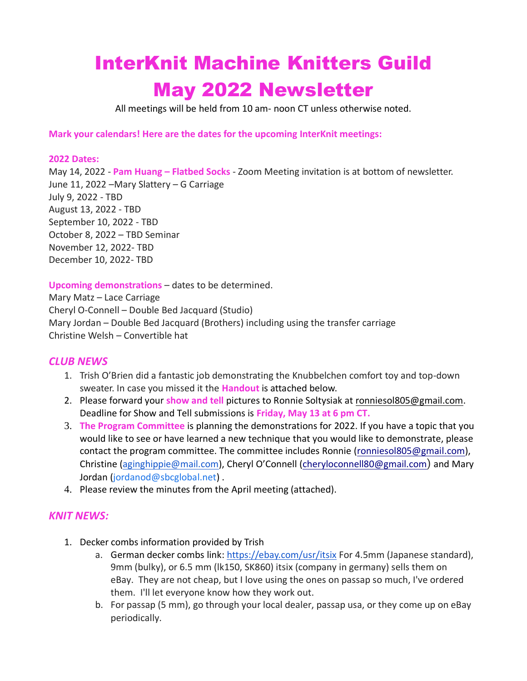# InterKnit Machine Knitters Guild May 2022 Newsletter

All meetings will be held from 10 am- noon CT unless otherwise noted.

#### **Mark your calendars! Here are the dates for the upcoming InterKnit meetings:**

#### **2022 Dates:**

May 14, 2022 - **Pam Huang – Flatbed Socks** - Zoom Meeting invitation is at bottom of newsletter. June 11, 2022 –Mary Slattery – G Carriage July 9, 2022 - TBD August 13, 2022 - TBD September 10, 2022 - TBD October 8, 2022 – TBD Seminar November 12, 2022- TBD December 10, 2022- TBD

#### **Upcoming demonstrations** – dates to be determined.

Mary Matz – Lace Carriage Cheryl O-Connell – Double Bed Jacquard (Studio) Mary Jordan – Double Bed Jacquard (Brothers) including using the transfer carriage Christine Welsh – Convertible hat

### *CLUB NEWS*

- 1. Trish O'Brien did a fantastic job demonstrating the Knubbelchen comfort toy and top-down sweater. In case you missed it the **Handout** is attached below.
- 2. Please forward your **show and tell** pictures to Ronnie Soltysiak at [ronniesol805@gmail.com.](mailto:ronniesol805@gmail.com) Deadline for Show and Tell submissions is **Friday, May 13 at 6 pm CT.**
- 3. **The Program Committee** is planning the demonstrations for 2022. If you have a topic that you would like to see or have learned a new technique that you would like to demonstrate, please contact the program committee. The committee includes Ronnie [\(ronniesol805@gmail.com\)](mailto:ronniesol805@gmail.com), Christine ([aginghippie@mail.com](mailto:aginghippie@mail.com)), Cheryl O'Connell [\(cheryloconnell80@gmail.com](mailto:cheryloconnell80@gmail.com)) and Mary Jordan ([jordanod@sbcglobal.net](mailto:jordanod@sbcglobal.net)).
- 4. Please review the minutes from the April meeting (attached).

### *KNIT NEWS:*

- 1. Decker combs information provided by Trish
	- a. German decker combs link: <https://ebay.com/usr/itsix> For 4.5mm (Japanese standard), 9mm (bulky), or 6.5 mm (lk150, SK860) itsix (company in germany) sells them on eBay. They are not cheap, but I love using the ones on passap so much, I've ordered them. I'll let everyone know how they work out.
	- b. For passap (5 mm), go through your local dealer, passap usa, or they come up on eBay periodically.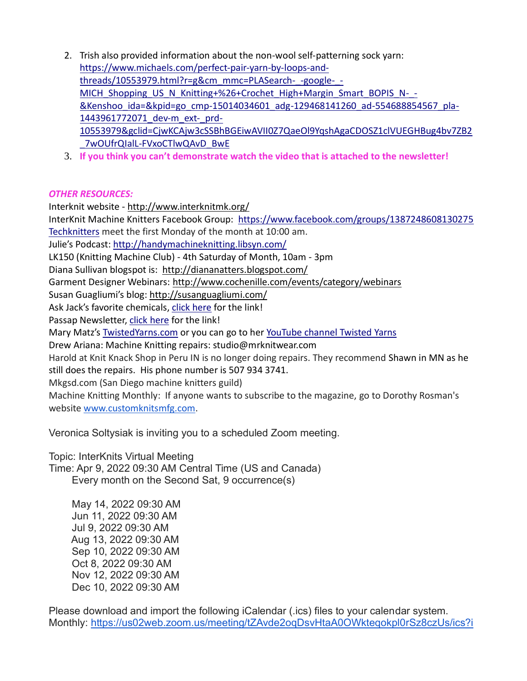- 2. Trish also provided information about the non-wool self-patterning sock yarn: [https://www.michaels.com/perfect-pair-yarn-by-loops-and](https://www.michaels.com/perfect-pair-yarn-by-loops-and-threads/10553979.html?r=g&cm_mmc=PLASearch-_-google-_-MICH_Shopping_US_N_Knitting+%26+Crochet_High+Margin_Smart_BOPIS_N-_-&Kenshoo_ida=&kpid=go_cmp-15014034601_adg-129468141260_ad-554688854567_pla-1443961772071_dev-m_ext-_prd-10553979&gclid=CjwKCAjw3cSSBhBGEiwAVII0Z7QaeOl9YqshAgaCDOSZ1clVUEGHBug4bv7ZB2_7wOUfrQIalL-FVxoCTlwQAvD_BwE)[threads/10553979.html?r=g&cm\\_mmc=PLASearch-\\_-google-\\_-](https://www.michaels.com/perfect-pair-yarn-by-loops-and-threads/10553979.html?r=g&cm_mmc=PLASearch-_-google-_-MICH_Shopping_US_N_Knitting+%26+Crochet_High+Margin_Smart_BOPIS_N-_-&Kenshoo_ida=&kpid=go_cmp-15014034601_adg-129468141260_ad-554688854567_pla-1443961772071_dev-m_ext-_prd-10553979&gclid=CjwKCAjw3cSSBhBGEiwAVII0Z7QaeOl9YqshAgaCDOSZ1clVUEGHBug4bv7ZB2_7wOUfrQIalL-FVxoCTlwQAvD_BwE) [MICH\\_Shopping\\_US\\_N\\_Knitting+%26+Crochet\\_High+Margin\\_Smart\\_BOPIS\\_N-\\_-](https://www.michaels.com/perfect-pair-yarn-by-loops-and-threads/10553979.html?r=g&cm_mmc=PLASearch-_-google-_-MICH_Shopping_US_N_Knitting+%26+Crochet_High+Margin_Smart_BOPIS_N-_-&Kenshoo_ida=&kpid=go_cmp-15014034601_adg-129468141260_ad-554688854567_pla-1443961772071_dev-m_ext-_prd-10553979&gclid=CjwKCAjw3cSSBhBGEiwAVII0Z7QaeOl9YqshAgaCDOSZ1clVUEGHBug4bv7ZB2_7wOUfrQIalL-FVxoCTlwQAvD_BwE) [&Kenshoo\\_ida=&kpid=go\\_cmp-15014034601\\_adg-129468141260\\_ad-554688854567\\_pla-](https://www.michaels.com/perfect-pair-yarn-by-loops-and-threads/10553979.html?r=g&cm_mmc=PLASearch-_-google-_-MICH_Shopping_US_N_Knitting+%26+Crochet_High+Margin_Smart_BOPIS_N-_-&Kenshoo_ida=&kpid=go_cmp-15014034601_adg-129468141260_ad-554688854567_pla-1443961772071_dev-m_ext-_prd-10553979&gclid=CjwKCAjw3cSSBhBGEiwAVII0Z7QaeOl9YqshAgaCDOSZ1clVUEGHBug4bv7ZB2_7wOUfrQIalL-FVxoCTlwQAvD_BwE)[1443961772071\\_dev-m\\_ext-\\_prd-](https://www.michaels.com/perfect-pair-yarn-by-loops-and-threads/10553979.html?r=g&cm_mmc=PLASearch-_-google-_-MICH_Shopping_US_N_Knitting+%26+Crochet_High+Margin_Smart_BOPIS_N-_-&Kenshoo_ida=&kpid=go_cmp-15014034601_adg-129468141260_ad-554688854567_pla-1443961772071_dev-m_ext-_prd-10553979&gclid=CjwKCAjw3cSSBhBGEiwAVII0Z7QaeOl9YqshAgaCDOSZ1clVUEGHBug4bv7ZB2_7wOUfrQIalL-FVxoCTlwQAvD_BwE)[10553979&gclid=CjwKCAjw3cSSBhBGEiwAVII0Z7QaeOl9YqshAgaCDOSZ1clVUEGHBug4bv7ZB2](https://www.michaels.com/perfect-pair-yarn-by-loops-and-threads/10553979.html?r=g&cm_mmc=PLASearch-_-google-_-MICH_Shopping_US_N_Knitting+%26+Crochet_High+Margin_Smart_BOPIS_N-_-&Kenshoo_ida=&kpid=go_cmp-15014034601_adg-129468141260_ad-554688854567_pla-1443961772071_dev-m_ext-_prd-10553979&gclid=CjwKCAjw3cSSBhBGEiwAVII0Z7QaeOl9YqshAgaCDOSZ1clVUEGHBug4bv7ZB2_7wOUfrQIalL-FVxoCTlwQAvD_BwE) [\\_7wOUfrQIalL-FVxoCTlwQAvD\\_BwE](https://www.michaels.com/perfect-pair-yarn-by-loops-and-threads/10553979.html?r=g&cm_mmc=PLASearch-_-google-_-MICH_Shopping_US_N_Knitting+%26+Crochet_High+Margin_Smart_BOPIS_N-_-&Kenshoo_ida=&kpid=go_cmp-15014034601_adg-129468141260_ad-554688854567_pla-1443961772071_dev-m_ext-_prd-10553979&gclid=CjwKCAjw3cSSBhBGEiwAVII0Z7QaeOl9YqshAgaCDOSZ1clVUEGHBug4bv7ZB2_7wOUfrQIalL-FVxoCTlwQAvD_BwE)
- 3. **If you think you can't demonstrate watch the video that is attached to the newsletter!**

## *OTHER RESOURCES:*

Interknit website - <http://www.interknitmk.org/> InterKnit Machine Knitters Facebook Group: <https://www.facebook.com/groups/1387248608130275> [Techknitters](https://www.facebook.com/groups/412997732183482/) meet the first Monday of the month at 10:00 am. Julie's Podcast:<http://handymachineknitting.libsyn.com/> LK150 (Knitting Machine Club) - 4th Saturday of Month, 10am - 3pm Diana Sullivan blogspot is: <http://diananatters.blogspot.com/> Garment Designer Webinars:<http://www.cochenille.com/events/category/webinars> Susan Guagliumi's blog:<http://susanguagliumi.com/> Ask Jack's favorite chemicals, [click here](http://www.theanswerlady.com/AskJackonchemicalsforknittingmachinemaintenance.html) for the link! Passap Newsletter, [click here](https://groups.yahoo.com/neo/groups/PassapNewsletter/files/2018/) for the link! Mary Matz's [TwistedYarns.com](file:///C:/Users/maryt/Documents/Interknit/Newsletters/2020/TwistedYarns.com) or you can go to her [YouTube channel Twisted Yarns](https://www.youtube.com/channel/UCmVK0U_vKShE8bRMnxSejtA) Drew Ariana: Machine Knitting repairs: studio@mrknitwear.com Harold at Knit Knack Shop in Peru IN is no longer doing repairs. They recommend Shawn in MN as he still does the repairs. His phone number is 507 934 3741. Mkgsd.com (San Diego machine knitters guild) Machine Knitting Monthly: If anyone wants to subscribe to the magazine, go to Dorothy Rosman's website [www.customknitsmfg.com.](http://www.customknitsmfg.com/)

Veronica Soltysiak is inviting you to a scheduled Zoom meeting.

Topic: InterKnits Virtual Meeting Time: Apr 9, 2022 09:30 AM Central Time (US and Canada) Every month on the Second Sat, 9 occurrence(s)

 May 14, 2022 09:30 AM Jun 11, 2022 09:30 AM Jul 9, 2022 09:30 AM Aug 13, 2022 09:30 AM Sep 10, 2022 09:30 AM Oct 8, 2022 09:30 AM Nov 12, 2022 09:30 AM Dec 10, 2022 09:30 AM

Please download and import the following iCalendar (.ics) files to your calendar system. Monthly: [https://us02web.zoom.us/meeting/tZAvde2oqDsvHtaA0OWkteqokpl0rSz8czUs/ics?i](https://us02web.zoom.us/meeting/tZAvde2oqDsvHtaA0OWkteqokpl0rSz8czUs/ics?icsToken=98tyKuGsrDkuGtKVtR2FRpwIAIjoLPTwpmJYgrdcvU_KNCtHZxL5PfJOYqBMCoDT)